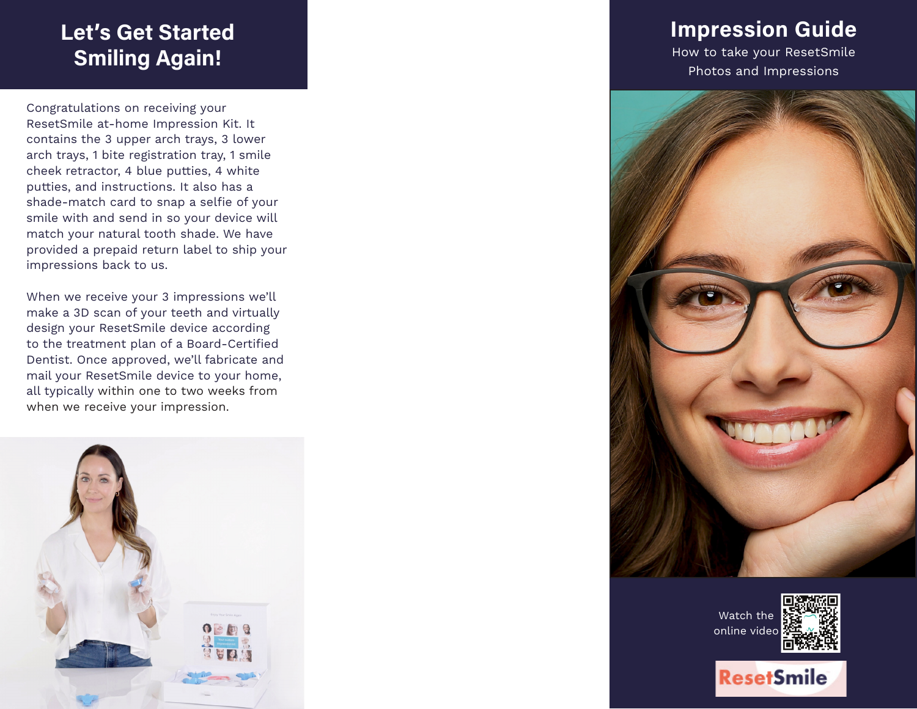# **Let's Get Started Smiling Again!**

Congratulations on receiving your ResetSmile at-home Impression Kit. It contains the 3 upper arch trays, 3 lower arch trays, 1 bite registration tray, 1 smile cheek retractor, 4 blue putties, 4 white putties, and instructions. It also has a shade-match card to snap a selfie of your smile with and send in so your device will match your natural tooth shade. We have provided a prepaid return label to ship your impressions back to us.

When we receive your 3 impressions we'll make a 3D scan of your teeth and virtually design your ResetSmile device according to the treatment plan of a Board-Certified Dentist. Once approved, we'll fabricate and mail your ResetSmile device to your home, all typically within one to two weeks from when we receive your impression.



# **Impression Guide**

How to take your ResetSmile Photos and Impressions



Watch the online video